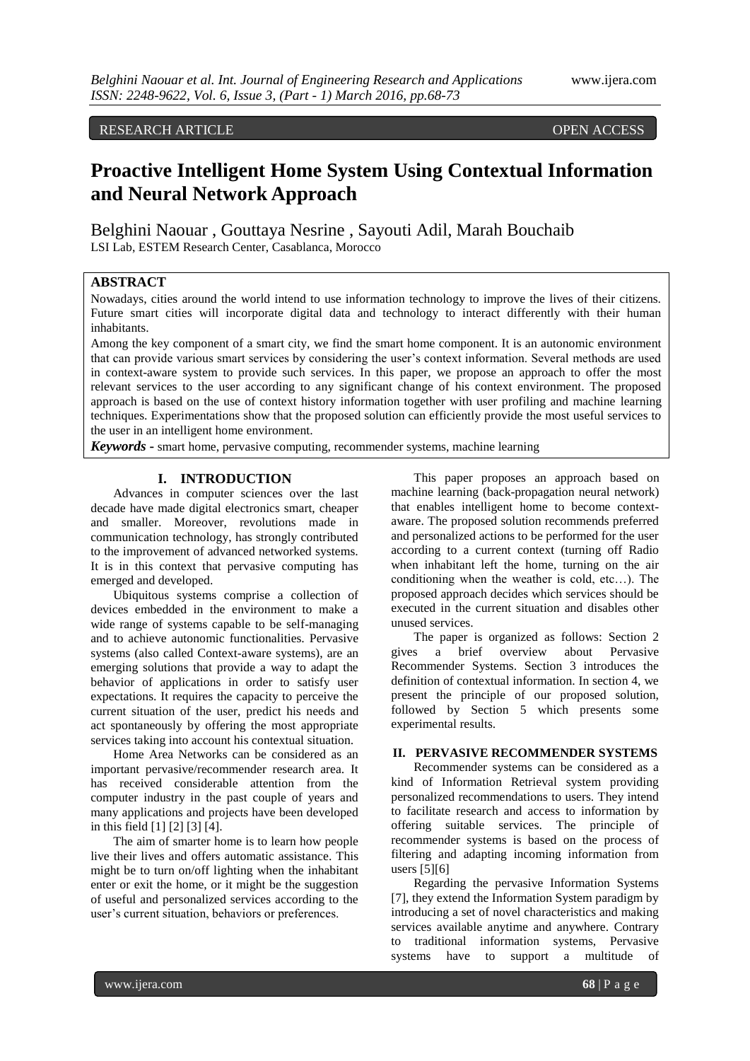# RESEARCH ARTICLE OPEN ACCESS

# **Proactive Intelligent Home System Using Contextual Information and Neural Network Approach**

Belghini Naouar , Gouttaya Nesrine , Sayouti Adil, Marah Bouchaib LSI Lab, ESTEM Research Center, Casablanca, Morocco

# **ABSTRACT**

Nowadays, cities around the world intend to use information technology to improve the lives of their citizens. Future smart cities will incorporate digital data and technology to interact differently with their human inhabitants.

Among the key component of a smart city, we find the smart home component. It is an autonomic environment that can provide various smart services by considering the user's context information. Several methods are used in context-aware system to provide such services. In this paper, we propose an approach to offer the most relevant services to the user according to any significant change of his context environment. The proposed approach is based on the use of context history information together with user profiling and machine learning techniques. Experimentations show that the proposed solution can efficiently provide the most useful services to the user in an intelligent home environment.

*Keywords* **-** smart home, pervasive computing, recommender systems, machine learning

# **I. INTRODUCTION**

Advances in computer sciences over the last decade have made digital electronics smart, cheaper and smaller. Moreover, revolutions made in communication technology, has strongly contributed to the improvement of advanced networked systems. It is in this context that pervasive computing has emerged and developed.

Ubiquitous systems comprise a collection of devices embedded in the environment to make a wide range of systems capable to be self-managing and to achieve autonomic functionalities. Pervasive systems (also called Context-aware systems), are an emerging solutions that provide a way to adapt the behavior of applications in order to satisfy user expectations. It requires the capacity to perceive the current situation of the user, predict his needs and act spontaneously by offering the most appropriate services taking into account his contextual situation.

Home Area Networks can be considered as an important pervasive/recommender research area. It has received considerable attention from the computer industry in the past couple of years and many applications and projects have been developed in this field [1] [2] [3] [4].

The aim of smarter home is to learn how people live their lives and offers automatic assistance. This might be to turn on/off lighting when the inhabitant enter or exit the home, or it might be the suggestion of useful and personalized services according to the user's current situation, behaviors or preferences.

This paper proposes an approach based on machine learning (back-propagation neural network) that enables intelligent home to become contextaware. The proposed solution recommends preferred and personalized actions to be performed for the user according to a current context (turning off Radio when inhabitant left the home, turning on the air conditioning when the weather is cold, etc…). The proposed approach decides which services should be executed in the current situation and disables other unused services.

The paper is organized as follows: Section 2 gives a brief overview about Pervasive Recommender Systems. Section 3 introduces the definition of contextual information. In section 4, we present the principle of our proposed solution, followed by Section 5 which presents some experimental results.

## **II. PERVASIVE RECOMMENDER SYSTEMS**

Recommender systems can be considered as a kind of Information Retrieval system providing personalized recommendations to users. They intend to facilitate research and access to information by offering suitable services. The principle of recommender systems is based on the process of filtering and adapting incoming information from users [5][6]

Regarding the pervasive Information Systems [7], they extend the Information System paradigm by introducing a set of novel characteristics and making services available anytime and anywhere. Contrary to traditional information systems, Pervasive systems have to support a multitude of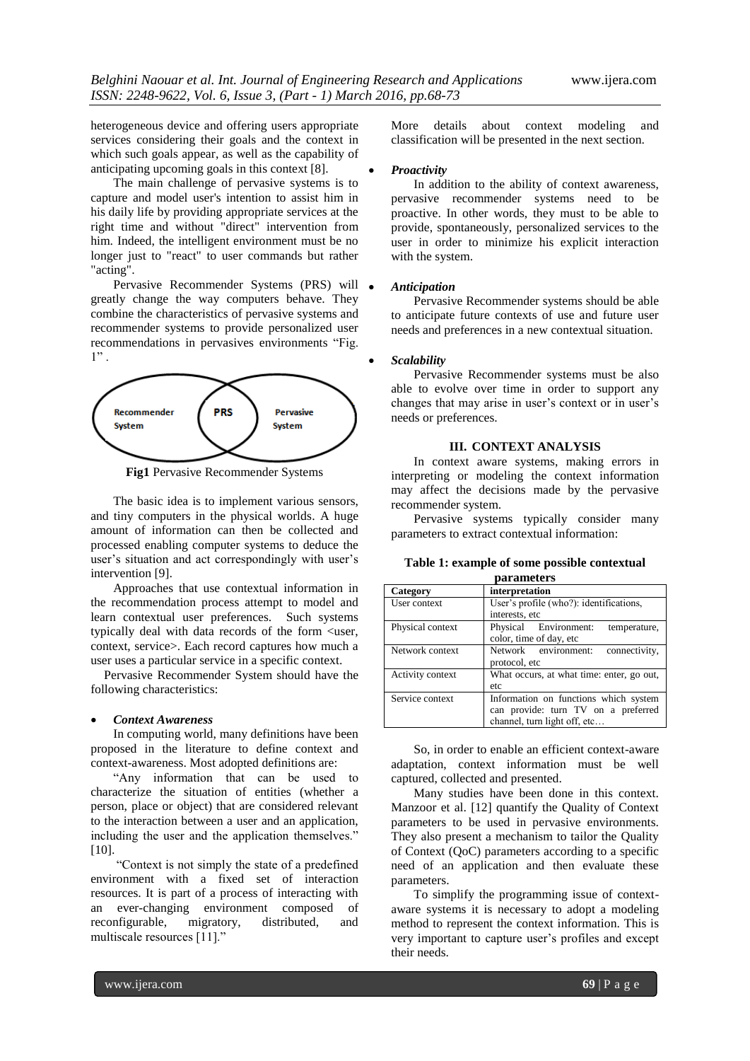heterogeneous device and offering users appropriate services considering their goals and the context in which such goals appear, as well as the capability of anticipating upcoming goals in this context [8].

The main challenge of pervasive systems is to capture and model user's intention to assist him in his daily life by providing appropriate services at the right time and without "direct" intervention from him. Indeed, the intelligent environment must be no longer just to "react" to user commands but rather "acting".

Pervasive Recommender Systems (PRS) will  $\bullet$ greatly change the way computers behave. They combine the characteristics of pervasive systems and recommender systems to provide personalized user recommendations in pervasives environments "Fig.  $1"$ .



**Fig1** Pervasive Recommender Systems

The basic idea is to implement various sensors, and tiny computers in the physical worlds. A huge amount of information can then be collected and processed enabling computer systems to deduce the user's situation and act correspondingly with user's intervention [9].

Approaches that use contextual information in the recommendation process attempt to model and learn contextual user preferences. Such systems typically deal with data records of the form <user, context, service>. Each record captures how much a user uses a particular service in a specific context.

Pervasive Recommender System should have the following characteristics:

#### *Context Awareness*

In computing world, many definitions have been proposed in the literature to define context and context-awareness. Most adopted definitions are:

"Any information that can be used to characterize the situation of entities (whether a person, place or object) that are considered relevant to the interaction between a user and an application, including the user and the application themselves." [10].

"Context is not simply the state of a predefined environment with a fixed set of interaction resources. It is part of a process of interacting with an ever-changing environment composed of reconfigurable, migratory, distributed, and multiscale resources [11]."

More details about context modeling and classification will be presented in the next section.

#### *Proactivity*

In addition to the ability of context awareness, pervasive recommender systems need to be proactive. In other words, they must to be able to provide, spontaneously, personalized services to the user in order to minimize his explicit interaction with the system.

#### *Anticipation*

Pervasive Recommender systems should be able to anticipate future contexts of use and future user needs and preferences in a new contextual situation.

## *Scalability*

Pervasive Recommender systems must be also able to evolve over time in order to support any changes that may arise in user's context or in user's needs or preferences.

## **III. CONTEXT ANALYSIS**

In context aware systems, making errors in interpreting or modeling the context information may affect the decisions made by the pervasive recommender system.

Pervasive systems typically consider many parameters to extract contextual information:

## **Table 1: example of some possible contextual**

| parameters       |                                                                                                              |  |  |  |  |  |  |
|------------------|--------------------------------------------------------------------------------------------------------------|--|--|--|--|--|--|
| Category         | interpretation                                                                                               |  |  |  |  |  |  |
| User context     | User's profile (who?): identifications,<br>interests, etc                                                    |  |  |  |  |  |  |
| Physical context | Physical Environment:<br>temperature.<br>color, time of day, etc                                             |  |  |  |  |  |  |
| Network context  | Network environment:<br>connectivity,<br>protocol, etc                                                       |  |  |  |  |  |  |
| Activity context | What occurs, at what time: enter, go out,<br>etc                                                             |  |  |  |  |  |  |
| Service context  | Information on functions which system<br>can provide: turn TV on a preferred<br>channel, turn light off, etc |  |  |  |  |  |  |

So, in order to enable an efficient context-aware adaptation, context information must be well captured, collected and presented.

Many studies have been done in this context. Manzoor et al. [12] quantify the Quality of Context parameters to be used in pervasive environments. They also present a mechanism to tailor the Quality of Context (QoC) parameters according to a specific need of an application and then evaluate these parameters.

To simplify the programming issue of contextaware systems it is necessary to adopt a modeling method to represent the context information. This is very important to capture user's profiles and except their needs.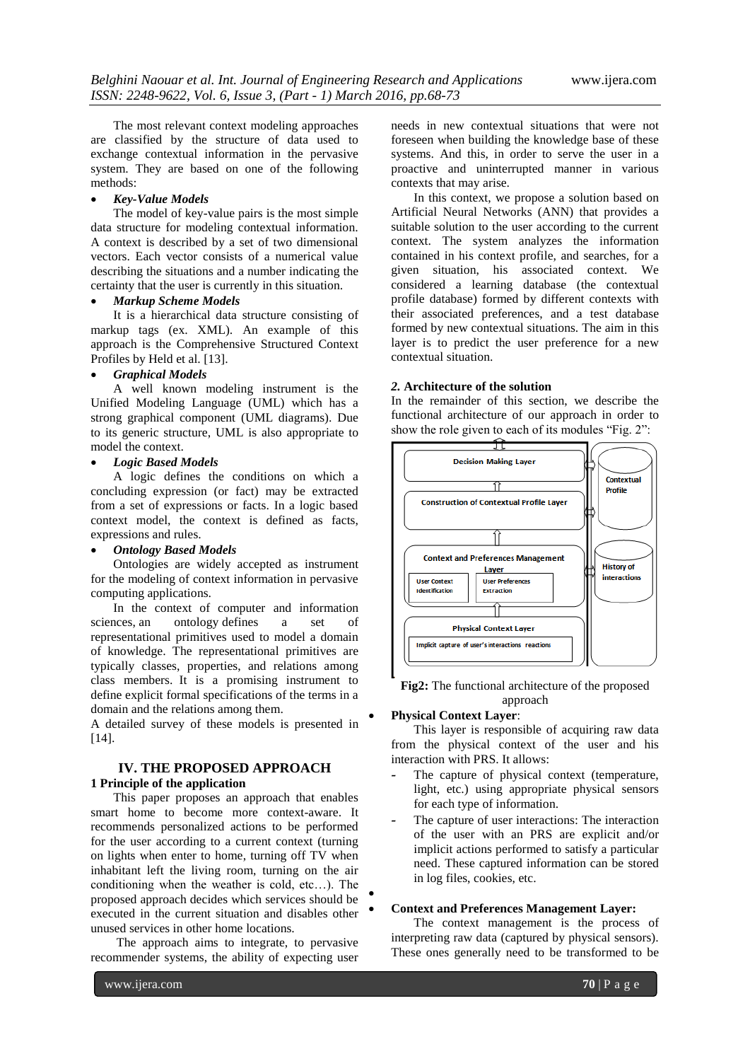The most relevant context modeling approaches are classified by the structure of data used to exchange contextual information in the pervasive system. They are based on one of the following methods:

## *Key-Value Models*

The model of key-value pairs is the most simple data structure for modeling contextual information. A context is described by a set of two dimensional vectors. Each vector consists of a numerical value describing the situations and a number indicating the certainty that the user is currently in this situation.

## *Markup Scheme Models*

It is a hierarchical data structure consisting of markup tags (ex. XML). An example of this approach is the Comprehensive Structured Context Profiles by Held et al. [13].

#### *Graphical Models*

A well known modeling instrument is the Unified Modeling Language (UML) which has a strong graphical component (UML diagrams). Due to its generic structure, UML is also appropriate to model the context.

## *Logic Based Models*

A logic defines the conditions on which a concluding expression (or fact) may be extracted from a set of expressions or facts. In a logic based context model, the context is defined as facts, expressions and rules.

#### *Ontology Based Models*

Ontologies are widely accepted as instrument for the modeling of context information in pervasive computing applications.

In the context of computer and information sciences, an ontology defines a set of representational primitives used to model a domain of knowledge. The representational primitives are typically classes, properties, and relations among class members. It is a promising instrument to define explicit formal specifications of the terms in a domain and the relations among them.

A detailed survey of these models is presented in [14].

# **IV. THE PROPOSED APPROACH 1 Principle of the application**

This paper proposes an approach that enables smart home to become more context-aware. It recommends personalized actions to be performed for the user according to a current context (turning on lights when enter to home, turning off TV when inhabitant left the living room, turning on the air conditioning when the weather is cold, etc…). The proposed approach decides which services should be executed in the current situation and disables other unused services in other home locations.

The approach aims to integrate, to pervasive recommender systems, the ability of expecting user

needs in new contextual situations that were not foreseen when building the knowledge base of these systems. And this, in order to serve the user in a proactive and uninterrupted manner in various contexts that may arise.

In this context, we propose a solution based on Artificial Neural Networks (ANN) that provides a suitable solution to the user according to the current context. The system analyzes the information contained in his context profile, and searches, for a given situation, his associated context. We considered a learning database (the contextual profile database) formed by different contexts with their associated preferences, and a test database formed by new contextual situations. The aim in this layer is to predict the user preference for a new contextual situation.

## *2.* **Architecture of the solution**

In the remainder of this section, we describe the functional architecture of our approach in order to show the role given to each of its modules "Fig. 2":



**Fig2:** The functional architecture of the proposed approach

# **Physical Context Layer**:

 $\bullet$ 

This layer is responsible of acquiring raw data from the physical context of the user and his interaction with PRS. It allows:

- The capture of physical context (temperature, light, etc.) using appropriate physical sensors for each type of information.
- The capture of user interactions: The interaction of the user with an PRS are explicit and/or implicit actions performed to satisfy a particular need. These captured information can be stored in log files, cookies, etc.

### **Context and Preferences Management Layer:**

The context management is the process of interpreting raw data (captured by physical sensors). These ones generally need to be transformed to be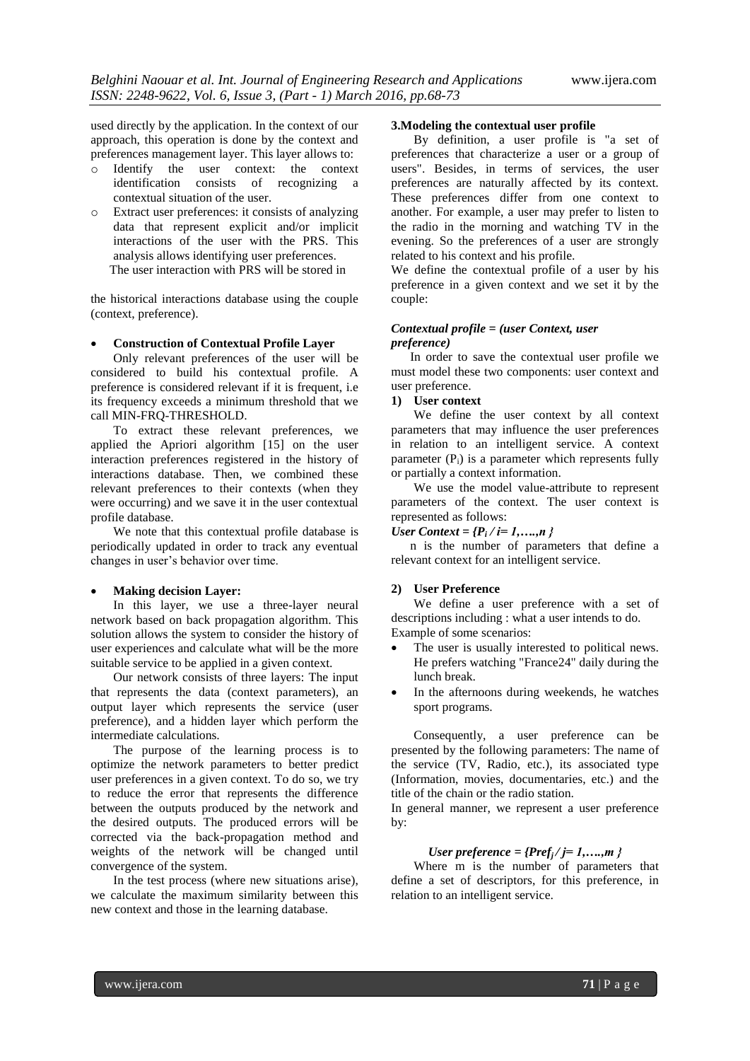used directly by the application. In the context of our approach, this operation is done by the context and preferences management layer. This layer allows to:

- o Identify the user context: the context identification consists of recognizing a contextual situation of the user.
- o Extract user preferences: it consists of analyzing data that represent explicit and/or implicit interactions of the user with the PRS. This analysis allows identifying user preferences. The user interaction with PRS will be stored in

the historical interactions database using the couple (context, preference).

## **Construction of Contextual Profile Layer**

Only relevant preferences of the user will be considered to build his contextual profile. A preference is considered relevant if it is frequent, i.e its frequency exceeds a minimum threshold that we call MIN-FRQ-THRESHOLD.

To extract these relevant preferences, we applied the Apriori algorithm [15] on the user interaction preferences registered in the history of interactions database. Then, we combined these relevant preferences to their contexts (when they were occurring) and we save it in the user contextual profile database.

We note that this contextual profile database is periodically updated in order to track any eventual changes in user's behavior over time.

## **Making decision Layer:**

In this layer, we use a three-layer neural network based on back propagation algorithm. This solution allows the system to consider the history of user experiences and calculate what will be the more suitable service to be applied in a given context.

Our network consists of three layers: The input that represents the data (context parameters), an output layer which represents the service (user preference), and a hidden layer which perform the intermediate calculations.

The purpose of the learning process is to optimize the network parameters to better predict user preferences in a given context. To do so, we try to reduce the error that represents the difference between the outputs produced by the network and the desired outputs. The produced errors will be corrected via the back-propagation method and weights of the network will be changed until convergence of the system.

In the test process (where new situations arise), we calculate the maximum similarity between this new context and those in the learning database.

# **3.Modeling the contextual user profile**

By definition, a user profile is "a set of preferences that characterize a user or a group of users". Besides, in terms of services, the user preferences are naturally affected by its context. These preferences differ from one context to another. For example, a user may prefer to listen to the radio in the morning and watching TV in the evening. So the preferences of a user are strongly related to his context and his profile.

We define the contextual profile of a user by his preference in a given context and we set it by the couple:

## *Contextual profile = (user Context, user preference)*

 In order to save the contextual user profile we must model these two components: user context and user preference.

# **1) User context**

We define the user context by all context parameters that may influence the user preferences in relation to an intelligent service. A context parameter  $(P_i)$  is a parameter which represents fully or partially a context information.

We use the model value-attribute to represent parameters of the context. The user context is represented as follows:

*User Context = {P<sup>i</sup> / i= 1,….,n }*

 n is the number of parameters that define a relevant context for an intelligent service.

#### **2) User Preference**

We define a user preference with a set of descriptions including : what a user intends to do. Example of some scenarios:

- The user is usually interested to political news. He prefers watching "France24" daily during the lunch break.
- In the afternoons during weekends, he watches sport programs.

Consequently, a user preference can be presented by the following parameters: The name of the service (TV, Radio, etc.), its associated type (Information, movies, documentaries, etc.) and the title of the chain or the radio station.

In general manner, we represent a user preference by:

## *User preference = {Pref<sub><i>i</sub>*  $/$  *j* = 1,....,*m* }</sub>

Where m is the number of parameters that define a set of descriptors, for this preference, in relation to an intelligent service.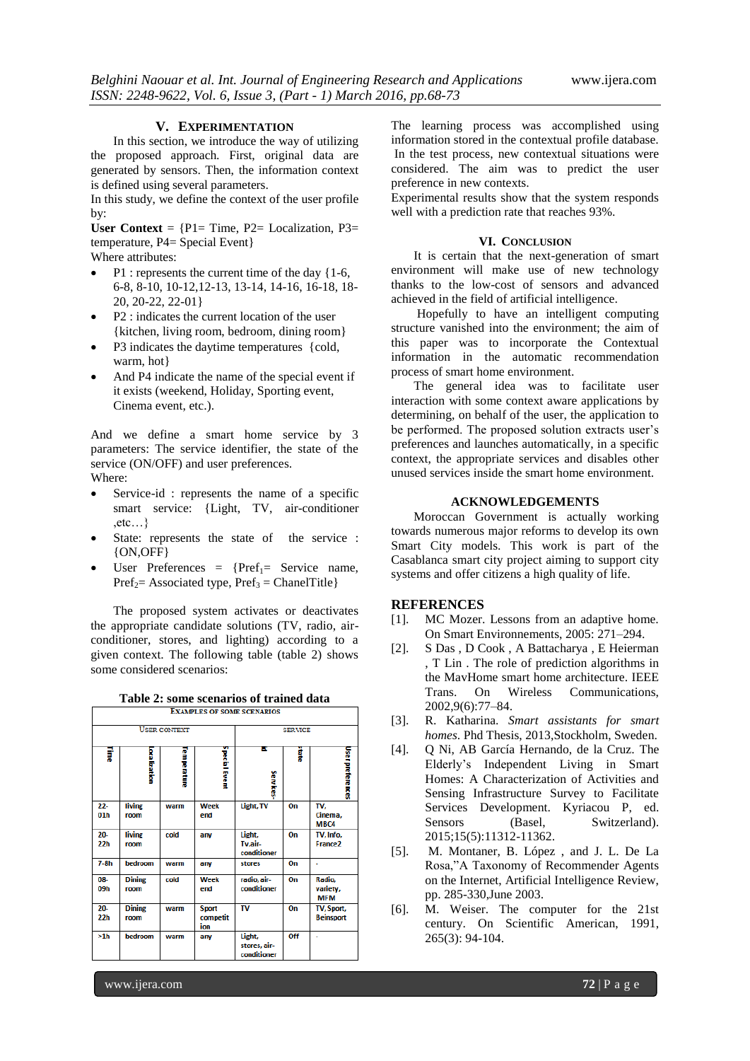#### **V. EXPERIMENTATION**

In this section, we introduce the way of utilizing the proposed approach. First, original data are generated by sensors. Then, the information context is defined using several parameters.

In this study, we define the context of the user profile by:

User Context =  $\{P1 = Time, P2 = Localization, P3 =$ temperature, P4= Special Event}

Where attributes:

- P1 : represents the current time of the day {1-6, 6-8, 8-10, 10-12,12-13, 13-14, 14-16, 16-18, 18- 20, 20-22, 22-01}
- P2 : indicates the current location of the user {kitchen, living room, bedroom, dining room}
- P3 indicates the daytime temperatures {cold, warm, hot}
- And P4 indicate the name of the special event if it exists (weekend, Holiday, Sporting event, Cinema event, etc.).

And we define a smart home service by 3 parameters: The service identifier, the state of the service (ON/OFF) and user preferences. Where:

- Service-id : represents the name of a specific smart service: {Light, TV, air-conditioner  $, etc...$ }
- State: represents the state of the service : {ON,OFF}
- $\bullet$  User Preferences = {Pref<sub>1</sub>= Service name,  $Pref_2$ = Associated type, Pref<sub>3</sub> = ChanelTitle}

The proposed system activates or deactivates the appropriate candidate solutions (TV, radio, airconditioner, stores, and lighting) according to a given context. The following table (table 2) shows some considered scenarios:

| Table 2: some scenarios of trained data |  |
|-----------------------------------------|--|
|-----------------------------------------|--|

| <b>EXAMPLES OF SOME SCENARIOS</b> |                       |                    |                                 |                                       |     |                                  |  |  |
|-----------------------------------|-----------------------|--------------------|---------------------------------|---------------------------------------|-----|----------------------------------|--|--|
| <b>USER CONTEXT</b>               |                       |                    |                                 | <b>SERVICE</b>                        |     |                                  |  |  |
| Ţ                                 | Localization          | <b>Temperature</b> | Special Event                   | ĸ<br>Services                         | ğ   | User preferences                 |  |  |
| $22 -$<br>01 <sub>h</sub>         | living<br>room        | warm               | Week<br>end                     | Light, TV                             | On  | TV,<br>Cinema,<br>MBC4           |  |  |
| $20 -$<br>22 <sub>h</sub>         | living<br>room        | cold               | any                             | Light,<br>Tv,air-<br>conditioner      | On  | TV, Info,<br>France <sub>2</sub> |  |  |
| $7-8h$                            | bedroom               | warm               | anv                             | stores                                | On  |                                  |  |  |
| 08-<br>09h                        | <b>Dining</b><br>room | cold               | Week<br>end                     | radio, air-<br>conditioner            | On  | Radio,<br>variety,<br><b>MFM</b> |  |  |
| $20 -$<br>22h                     | <b>Dining</b><br>room | warm               | <b>Sport</b><br>competit<br>ion | TV                                    | On  | TV, Sport,<br><b>Beinsport</b>   |  |  |
| >1h                               | bedroom               | warm               | any                             | Light,<br>stores, air-<br>conditioner | Off |                                  |  |  |

The learning process was accomplished using information stored in the contextual profile database. In the test process, new contextual situations were considered. The aim was to predict the user preference in new contexts.

Experimental results show that the system responds well with a prediction rate that reaches 93%.

### **VI. CONCLUSION**

It is certain that the next-generation of smart environment will make use of new technology thanks to the low-cost of sensors and advanced achieved in the field of artificial intelligence.

Hopefully to have an intelligent computing structure vanished into the environment; the aim of this paper was to incorporate the Contextual information in the automatic recommendation process of smart home environment.

The general idea was to facilitate user interaction with some context aware applications by determining, on behalf of the user, the application to be performed. The proposed solution extracts user's preferences and launches automatically, in a specific context, the appropriate services and disables other unused services inside the smart home environment.

## **ACKNOWLEDGEMENTS**

Moroccan Government is actually working towards numerous major reforms to develop its own Smart City models. This work is part of the Casablanca smart city project aiming to support city systems and offer citizens a high quality of life.

## **REFERENCES**

- [1]. MC Mozer. Lessons from an adaptive home. On Smart Environnements, 2005: 271–294.
- [2]. S Das , D Cook , A Battacharya , E Heierman , T Lin . The role of prediction algorithms in the MavHome smart home architecture. IEEE Trans. On Wireless Communications, 2002,9(6):77–84.
- [3]. R. Katharina. *Smart assistants for smart homes*. Phd Thesis, 2013,Stockholm, Sweden.
- [4]. Q Ni, AB García Hernando, de la Cruz. The Elderly's Independent Living in Smart Homes: A Characterization of Activities and Sensing Infrastructure Survey to Facilitate Services Development. Kyriacou P, ed.<br>Sensors (Basel, Switzerland). Sensors (Basel, Switzerland). 2015;15(5):11312-11362.
- [5]. M. Montaner, B. López , and J. L. De La Rosa,"A Taxonomy of Recommender Agents on the Internet, Artificial Intelligence Review, pp. 285-330,June 2003.
- [6]. M. Weiser. The computer for the 21st century. On Scientific American, 1991, 265(3): 94-104.